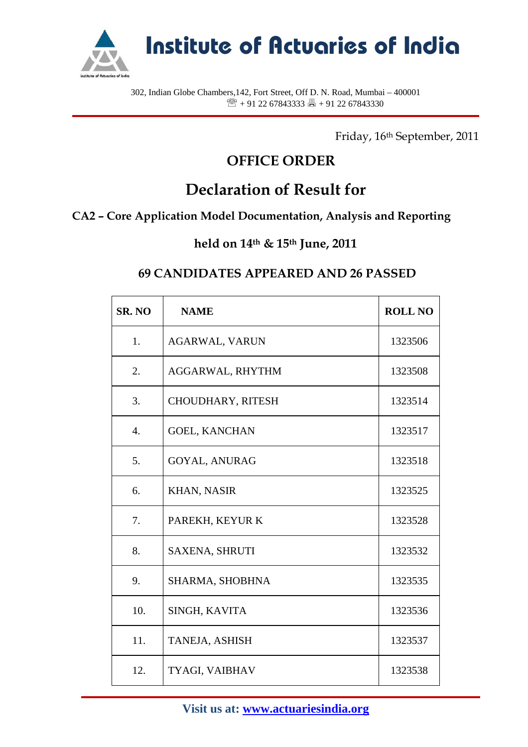

**Institute of Actuaries of India**

302, Indian Globe Chambers,142, Fort Street, Off D. N. Road, Mumbai – 400001  $\mathbb{R}$  + 91 22 67843333  $\mathbb{R}$  + 91 22 67843330

Friday, 16th September, 2011

## **OFFICE ORDER**

# **Declaration of Result for**

### **CA2 – Core Application Model Documentation, Analysis and Reporting**

#### **held on 14th & 15th June, 2011**

#### **69 CANDIDATES APPEARED AND 26 PASSED**

| SR. NO           | <b>NAME</b>           | <b>ROLL NO</b> |
|------------------|-----------------------|----------------|
| 1.               | <b>AGARWAL, VARUN</b> | 1323506        |
| 2.               | AGGARWAL, RHYTHM      | 1323508        |
| 3.               | CHOUDHARY, RITESH     | 1323514        |
| $\overline{4}$ . | <b>GOEL, KANCHAN</b>  | 1323517        |
| 5.               | <b>GOYAL, ANURAG</b>  | 1323518        |
| 6.               | <b>KHAN, NASIR</b>    | 1323525        |
| 7.               | PAREKH, KEYUR K       | 1323528        |
| 8.               | <b>SAXENA, SHRUTI</b> | 1323532        |
| 9.               | SHARMA, SHOBHNA       | 1323535        |
| 10.              | SINGH, KAVITA         | 1323536        |
| 11.              | TANEJA, ASHISH        | 1323537        |
| 12.              | TYAGI, VAIBHAV        | 1323538        |

**Visit us at: www.actuariesindia.org**